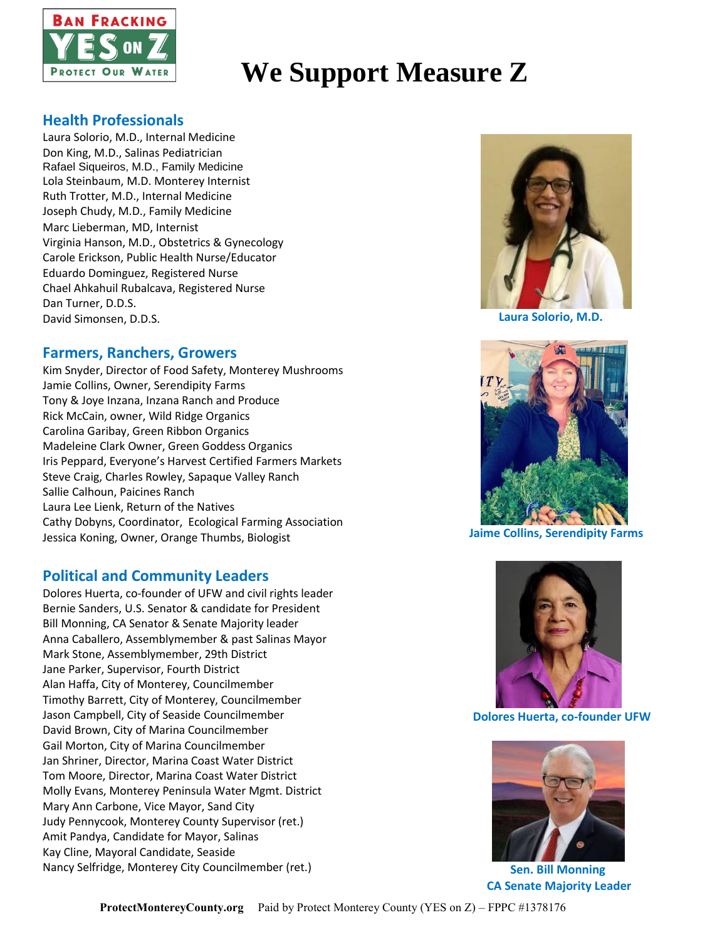

# **We Support Measure Z**

## **Health Professionals**

Laura Solorio, M.D., Internal Medicine Don King, M.D., Salinas Pediatrician Rafael Siqueiros, M.D., Family Medicine Lola Steinbaum, M.D. Monterey Internist Ruth Trotter, M.D., Internal Medicine Joseph Chudy, M.D., Family Medicine Marc Lieberman, MD, Internist Virginia Hanson, M.D., Obstetrics & Gynecology Carole Erickson, Public Health Nurse/Educator Eduardo Dominguez, Registered Nurse Chael Ahkahuil Rubalcava, Registered Nurse Dan Turner, D.D.S. David Simonsen, D.D.S.

## **Farmers, Ranchers, Growers**

Kim Snyder, Director of Food Safety, Monterey Mushrooms Jamie Collins, Owner, Serendipity Farms Tony & Joye Inzana, Inzana Ranch and Produce Rick McCain, owner, Wild Ridge Organics Carolina Garibay, Green Ribbon Organics Madeleine Clark Owner, Green Goddess Organics Iris Peppard, Everyone's Harvest Certified Farmers Markets Steve Craig, Charles Rowley, Sapaque Valley Ranch Sallie Calhoun, Paicines Ranch Laura Lee Lienk, Return of the Natives Cathy Dobyns, Coordinator, Ecological Farming Association Jessica Koning, Owner, Orange Thumbs, Biologist

## **Political and Community Leaders**

Dolores Huerta, co-founder of UFW and civil rights leader Bernie Sanders, U.S. Senator & candidate for President Bill Monning, CA Senator & Senate Majority leader Anna Caballero, Assemblymember & past Salinas Mayor Mark Stone, Assemblymember, 29th District Jane Parker, Supervisor, Fourth District Alan Haffa, City of Monterey, Councilmember Timothy Barrett, City of Monterey, Councilmember Jason Campbell, City of Seaside Councilmember David Brown, City of Marina Councilmember Gail Morton, City of Marina Councilmember Jan Shriner, Director, Marina Coast Water District Tom Moore, Director, Marina Coast Water District Molly Evans, Monterey Peninsula Water Mgmt. District Mary Ann Carbone, Vice Mayor, Sand City Judy Pennycook, Monterey County Supervisor (ret.) Amit Pandya, Candidate for Mayor, Salinas Kay Cline, Mayoral Candidate, Seaside Nancy Selfridge, Monterey City Councilmember (ret.)



**Laura Solorio, M.D.**



 **Jaime Collins, Serendipity Farms**



 **Dolores Huerta, co-founder UFW**



 **Sen. Bill Monning CA Senate Majority Leader**